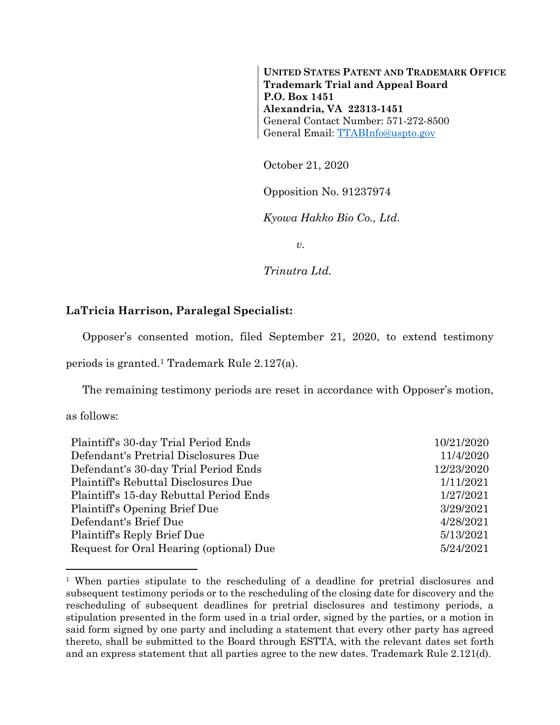**UNITED STATES PATENT AND TRADEMARK OFFICE Trademark Trial and Appeal Board P.O. Box 1451 Alexandria, VA 22313-1451** General Contact Number: 571-272-8500 General Email: [TTABInfo@uspto.gov](mailto:TTABInfo@uspto.gov)

October 21, 2020

Opposition No. 91237974

*Kyowa Hakko Bio Co., Ltd.*

*v.*

*Trinutra Ltd.*

## **LaTricia Harrison, Paralegal Specialist:**

Opposer's consented motion, filed September 21, 2020, to extend testimony

periods is granted.<sup>1</sup> Trademark Rule 2.127(a).

The remaining testimony periods are reset in accordance with Opposer's motion,

as follows:

l

| 10/21/2020 |
|------------|
| 11/4/2020  |
| 12/23/2020 |
| 1/11/2021  |
| 1/27/2021  |
| 3/29/2021  |
| 4/28/2021  |
| 5/13/2021  |
| 5/24/2021  |
|            |

<sup>1</sup> When parties stipulate to the rescheduling of a deadline for pretrial disclosures and subsequent testimony periods or to the rescheduling of the closing date for discovery and the rescheduling of subsequent deadlines for pretrial disclosures and testimony periods, a stipulation presented in the form used in a trial order, signed by the parties, or a motion in said form signed by one party and including a statement that every other party has agreed thereto, shall be submitted to the Board through ESTTA, with the relevant dates set forth and an express statement that all parties agree to the new dates. Trademark Rule 2.121(d).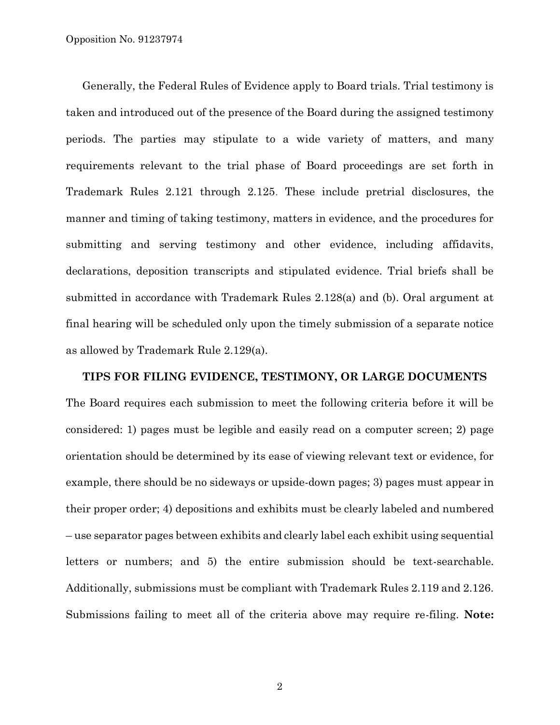Generally, the Federal Rules of Evidence apply to Board trials. Trial testimony is taken and introduced out of the presence of the Board during the assigned testimony periods. The parties may stipulate to a wide variety of matters, and many requirements relevant to the trial phase of Board proceedings are set forth in Trademark Rules 2.121 through 2.125. These include pretrial disclosures, the manner and timing of taking testimony, matters in evidence, and the procedures for submitting and serving testimony and other evidence, including affidavits, declarations, deposition transcripts and stipulated evidence. Trial briefs shall be submitted in accordance with Trademark Rules 2.128(a) and (b). Oral argument at final hearing will be scheduled only upon the timely submission of a separate notice as allowed by Trademark Rule 2.129(a).

**TIPS FOR FILING EVIDENCE, TESTIMONY, OR LARGE DOCUMENTS**  The Board requires each submission to meet the following criteria before it will be considered: 1) pages must be legible and easily read on a computer screen; 2) page orientation should be determined by its ease of viewing relevant text or evidence, for example, there should be no sideways or upside-down pages; 3) pages must appear in their proper order; 4) depositions and exhibits must be clearly labeled and numbered – use separator pages between exhibits and clearly label each exhibit using sequential letters or numbers; and 5) the entire submission should be text-searchable. Additionally, submissions must be compliant with Trademark Rules 2.119 and 2.126. Submissions failing to meet all of the criteria above may require re-filing. **Note:**